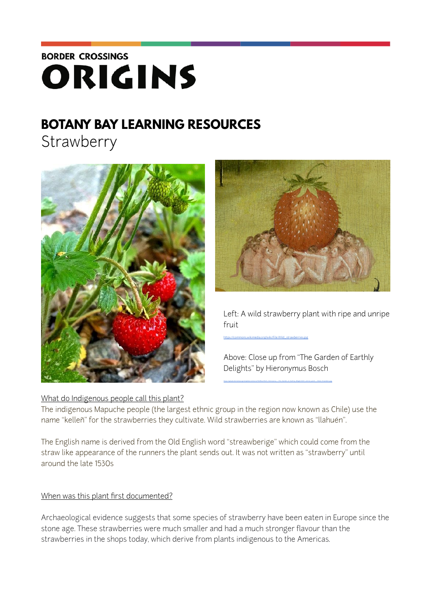# **BORDER CROSSINGS** ORIGINS

# **BOTANY BAY LEARNING RESOURCES**

**Strawberry** 





Left: A wild strawberry plant with ripe and unripe fruit

[https://commons.wikimedia.org/wiki/File:Wild\\_strawberries.jpg](https://commons.wikimedia.org/wiki/File:Wild_strawberries.jpg)

Above: Close up from "The Garden of Earthly Delights" by Hieronymus Bosch

# What do Indigenous people call this plant?

The indigenous Mapuche people (the largest ethnic group in the region now known as Chile) use the name "kelleñ" for the strawberries they cultivate. Wild strawberries are known as "llahuén".

The English name is derived from the Old English word "streawberige" which could come from the straw like appearance of the runners the plant sends out. It was not written as "strawberry" until around the late 1530s

# When was this plant first documented?

Archaeological evidence suggests that some species of strawberry have been eaten in Europe since the stone age. These strawberries were much smaller and had a much stronger flavour than the strawberries in the shops today, which derive from plants indigenous to the Americas.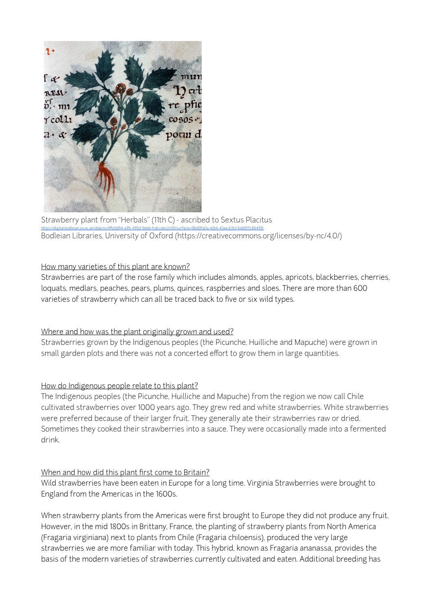

Strawberry plant from "Herbals" (11th C) - ascribed to Sextus Placitus https://digital.bodleian.ox.ac.uk/objects/4ff[a9d94-a1fb-495d-9deb-fcdccdec2c09/surfaces/8bd0fa0a-42b6-43aa-b3b1-6a8855c86499/](https://digital.bodleian.ox.ac.uk/objects/4ffa9d94-a1fb-495d-9deb-fcdccdec2c09/surfaces/8bd0fa0a-42b6-43aa-b3b1-6a8855c86499/) Bodleian Libraries, University of Oxford (https://creativecommons.org/licenses/by-nc/4.0/)

### How many varieties of this plant are known?

Strawberries are part of the rose family which includes almonds, apples, apricots, blackberries, cherries, loquats, medlars, peaches, pears, plums, quinces, raspberries and sloes. There are more than 600 varieties of strawberry which can all be traced back to five or six wild types.

#### Where and how was the plant originally grown and used?

Strawberries grown by the Indigenous peoples (the Picunche, Huilliche and Mapuche) were grown in small garden plots and there was not a concerted effort to grow them in large quantities.

# How do Indigenous people relate to this plant?

The Indigenous peoples (the Picunche, Huilliche and Mapuche) from the region we now call Chile cultivated strawberries over 1000 years ago. They grew red and white strawberries. White strawberries were preferred because of their larger fruit. They generally ate their strawberries raw or dried. Sometimes they cooked their strawberries into a sauce. They were occasionally made into a fermented drink.

#### When and how did this plant first come to Britain?

Wild strawberries have been eaten in Europe for a long time. Virginia Strawberries were brought to England from the Americas in the 1600s.

When strawberry plants from the Americas were first brought to Europe they did not produce any fruit. However, in the mid 1800s in Brittany, France, the planting of strawberry plants from North America (Fragaria virginiana) next to plants from Chile (Fragaria chiloensis), produced the very large strawberries we are more familiar with today. This hybrid, known as Fragaria ananassa, provides the basis of the modern varieties of strawberries currently cultivated and eaten. Additional breeding has